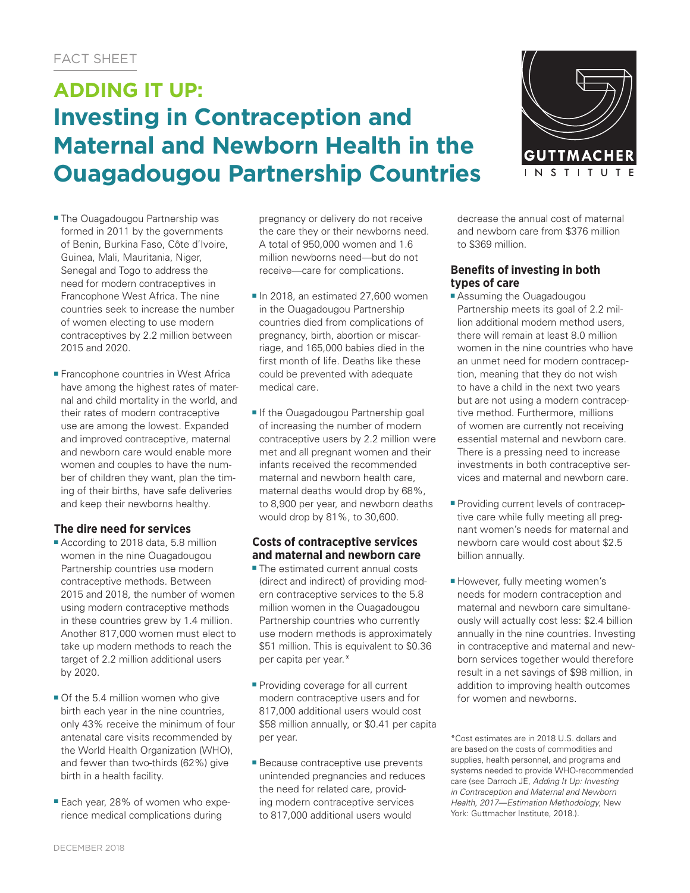# **ADDING IT UP: Investing in Contraception and Maternal and Newborn Health in the Ouagadougou Partnership Countries**



- The Ouagadougou Partnership was formed in 2011 by the governments of Benin, Burkina Faso, Côte d'Ivoire, Guinea, Mali, Mauritania, Niger, Senegal and Togo to address the need for modern contraceptives in Francophone West Africa. The nine countries seek to increase the number of women electing to use modern contraceptives by 2.2 million between 2015 and 2020.
- Francophone countries in West Africa have among the highest rates of maternal and child mortality in the world, and their rates of modern contraceptive use are among the lowest. Expanded and improved contraceptive, maternal and newborn care would enable more women and couples to have the number of children they want, plan the timing of their births, have safe deliveries and keep their newborns healthy.

# **The dire need for services**

- According to 2018 data, 5.8 million women in the nine Ouagadougou Partnership countries use modern contraceptive methods. Between 2015 and 2018, the number of women using modern contraceptive methods in these countries grew by 1.4 million. Another 817,000 women must elect to take up modern methods to reach the target of 2.2 million additional users by 2020.
- Of the 5.4 million women who give birth each year in the nine countries, only 43% receive the minimum of four antenatal care visits recommended by the World Health Organization (WHO), and fewer than two-thirds (62%) give birth in a health facility.
- Each year, 28% of women who experience medical complications during

pregnancy or delivery do not receive the care they or their newborns need. A total of 950,000 women and 1.6 million newborns need—but do not receive—care for complications.

- In 2018, an estimated 27,600 women in the Ouagadougou Partnership countries died from complications of pregnancy, birth, abortion or miscarriage, and 165,000 babies died in the first month of life. Deaths like these could be prevented with adequate medical care.
- If the Ouagadougou Partnership goal of increasing the number of modern contraceptive users by 2.2 million were met and all pregnant women and their infants received the recommended maternal and newborn health care maternal deaths would drop by 68%, to 8,900 per year, and newborn deaths would drop by 81%, to 30,600.

### **Costs of contraceptive services and maternal and newborn care**

- The estimated current annual costs (direct and indirect) of providing modern contraceptive services to the 5.8 million women in the Ouagadougou Partnership countries who currently use modern methods is approximately \$51 million. This is equivalent to \$0.36 per capita per year.\*
- Providing coverage for all current modern contraceptive users and for 817,000 additional users would cost \$58 million annually, or \$0.41 per capita per year.
- Because contraceptive use prevents unintended pregnancies and reduces the need for related care, providing modern contraceptive services to 817,000 additional users would

decrease the annual cost of maternal and newborn care from \$376 million to \$369 million.

## **Benefits of investing in both types of care**

- Assuming the Ouagadougou Partnership meets its goal of 2.2 million additional modern method users, there will remain at least 8.0 million women in the nine countries who have an unmet need for modern contraception, meaning that they do not wish to have a child in the next two years but are not using a modern contraceptive method. Furthermore, millions of women are currently not receiving essential maternal and newborn care. There is a pressing need to increase investments in both contraceptive services and maternal and newborn care.
- Providing current levels of contraceptive care while fully meeting all pregnant women's needs for maternal and newborn care would cost about \$2.5 billion annually.
- However, fully meeting women's needs for modern contraception and maternal and newborn care simultaneously will actually cost less: \$2.4 billion annually in the nine countries. Investing in contraceptive and maternal and newborn services together would therefore result in a net savings of \$98 million, in addition to improving health outcomes for women and newborns.

\*Cost estimates are in 2018 U.S. dollars and are based on the costs of commodities and supplies, health personnel, and programs and systems needed to provide WHO-recommended care (see Darroch JE, *Adding It Up: Investing in Contraception and Maternal and Newborn Health, 2017—Estimation Methodology*, New York: Guttmacher Institute, 2018.).